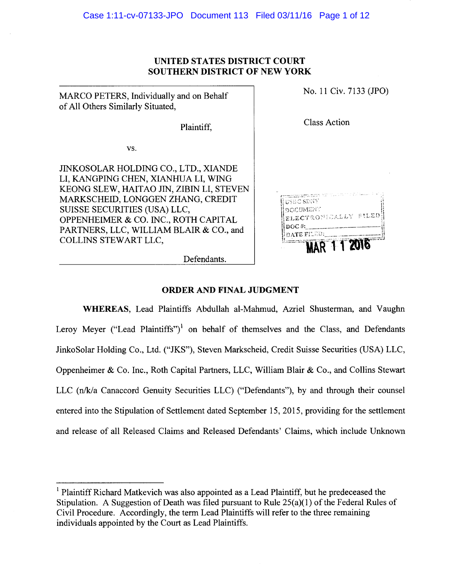## **UNITED STATES DISTRICT COURT SOUTHERN DISTRICT OF NEW YORK**

| MARCO PETERS, Individually and on Behalf<br>of All Others Similarly Situated,                                                                                                                                                                                                                           | No. 11 Civ. 7133 (JPO)                                                        |
|---------------------------------------------------------------------------------------------------------------------------------------------------------------------------------------------------------------------------------------------------------------------------------------------------------|-------------------------------------------------------------------------------|
| Plaintiff.                                                                                                                                                                                                                                                                                              | <b>Class Action</b>                                                           |
| VS.                                                                                                                                                                                                                                                                                                     |                                                                               |
| JINKOSOLAR HOLDING CO., LTD., XIANDE<br>LI, KANGPING CHEN, XIANHUA LI, WING<br>KEONG SLEW, HAITAO JIN, ZIBIN LI, STEVEN<br>MARKSCHEID, LONGGEN ZHANG, CREDIT<br>SUISSE SECURITIES (USA) LLC,<br>OPPENHEIMER & CO. INC., ROTH CAPITAL<br>PARTNERS, LLC, WILLIAM BLAIR & CO., and<br>COLLINS STEWART LLC, | sho sdny<br><b>DOCUMENT</b><br>ELECTRONICALLY FILED<br>$DC#$ :<br>DATE FILED: |
| Defendants.                                                                                                                                                                                                                                                                                             |                                                                               |

### **ORDER AND FINAL JUDGMENT**

**WHEREAS,** Lead Plaintiffs Abdullah al-Mahmud, Azriel Shusterman, and Vaughn Leroy Meyer ("Lead Plaintiffs")<sup>1</sup> on behalf of themselves and the Class, and Defendants JinkoSolar Holding Co., Ltd. ("JKS"), Steven Markscheid, Credit Suisse Securities (USA) LLC, Oppenheimer & Co. Inc., Roth Capital Partners, LLC, William Blair & Co., and Collins Stewart LLC (n/k/a Canaccord Genuity Securities LLC) ("Defendants"), by and through their counsel entered into the Stipulation of Settlement dated September 15, 2015, providing for the settlement and release of all Released Claims and Released Defendants' Claims, which include Unknown

<sup>&</sup>lt;sup>1</sup> Plaintiff Richard Matkevich was also appointed as a Lead Plaintiff, but he predeceased the Stipulation. A Suggestion of Death was filed pursuant to Rule 25(a)(1) of the Federal Rules of Civil Procedure. Accordingly, the term Lead Plaintiffs will refer to the three remaining individuals appointed by the Court as Lead Plaintiffs.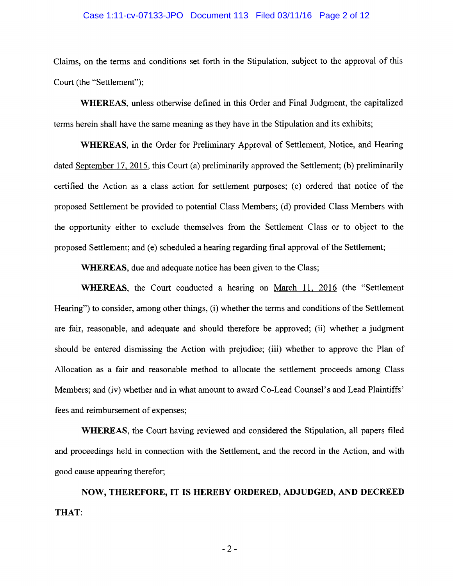#### Case 1:11-cv-07133-JPO Document 113 Filed 03/11/16 Page 2 of 12

Claims, on the terms and conditions set forth in the Stipulation, subject to the approval of this Court (the "Settlement");

**WHEREAS,** unless otherwise defined in this Order and Final Judgment, the capitalized terms herein shall have the same meaning as they have in the Stipulation and its exhibits;

**WHEREAS,** in the Order for Preliminary Approval of Settlement, Notice, and Hearing dated September 17, 2015, this Court (a) preliminarily approved the Settlement; (b) preliminarily certified the Action as a class action for settlement purposes; ( c) ordered that notice of the proposed Settlement be provided to potential Class Members; ( d) provided Class Members with the opportunity either to exclude themselves from the Settlement Class or to object to the proposed Settlement; and (e) scheduled a hearing regarding final approval of the Settlement;

**WHEREAS,** due and adequate notice has been given to the Class;

**WHEREAS,** the Court conducted a hearing on March 11, 2016 (the "Settlement Hearing") to consider, among other things, (i) whether the terms and conditions of the Settlement are fair, reasonable, and adequate and should therefore be approved; (ii) whether a judgment should be entered dismissing the Action with prejudice; (iii) whether to approve the Plan of Allocation as a fair and reasonable method to allocate the settlement proceeds among Class Members; and (iv) whether and in what amount to award Co-Lead Counsel's and Lead Plaintiffs' fees and reimbursement of expenses;

**WHEREAS,** the Court having reviewed and considered the Stipulation, all papers filed and proceedings held in connection with the Settlement, and the record in the Action, and with good cause appearing therefor;

**NOW, THEREFORE, IT IS HEREBY ORDERED, ADJUDGED, AND DECREED THAT:** 

 $-2-$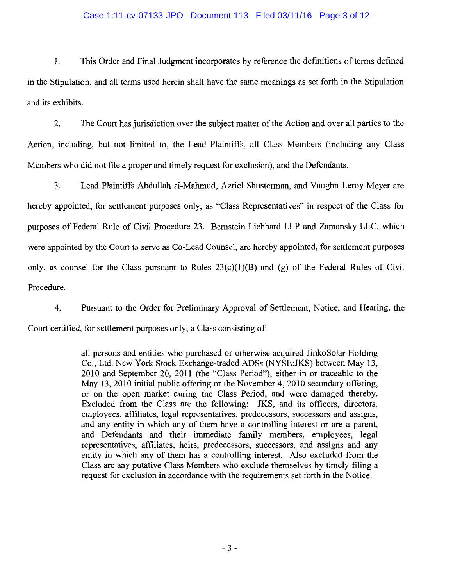## Case 1:11-cv-07133-JPO Document 113 Filed 03/11/16 Page 3 of 12

1. This Order and Final Judgment incorporates by reference the definitions of terms defined in the Stipulation, and all terms used herein shall have the same meanings as set forth in the Stipulation and its exhibits.

2. The Court has jurisdiction over the subject matter of the Action and over all parties to the Action, including, but not limited to, the Lead Plaintiffs, all Class Members (including any Class Members who did not file a proper and timely request for exclusion), and the Defendants.

3. Lead Plaintiffs Abdullah al-Mahmud, Azriel Shusterman, and Vaughn Leroy Meyer are hereby appointed, for settlement purposes only, as "Class Representatives" in respect of the Class for purposes of Federal Rule of Civil Procedure 23. Bernstein Liebhard LLP and Zamansky LLC, which were appointed by the Court to serve as Co-Lead Counsel, are hereby appointed, for settlement purposes only, as counsel for the Class pursuant to Rules  $23(c)(1)(B)$  and (g) of the Federal Rules of Civil Procedure.

4. Pursuant to the Order for Preliminary Approval of Settlement, Notice, and Hearing, the Court certified, for settlement purposes only, a Class consisting of:

> all persons and entities who purchased or otherwise acquired JinkoSolar Holding Co., Ltd. New York Stock Exchange-traded ADSs (NYSE:JKS) between May 13, 2010 and September 20, 2011 (the "Class Period"), either in or traceable to the May 13, 2010 initial public offering or the November 4, 2010 secondary offering, or on the open market during the Class Period, and were damaged thereby. Excluded from the Class are the following: JKS, and its officers, directors, employees, affiliates, legal representatives, predecessors, successors and assigns, and any entity in which any of them have a controlling interest or are a parent, and Defendants and their immediate family members, employees, legal representatives, affiliates, heirs, predecessors, successors, and assigns and any entity in which any of them has a controlling interest. Also excluded from the Class are any putative Class Members who exclude themselves by timely filing a request for exclusion in accordance with the requirements set forth in the Notice.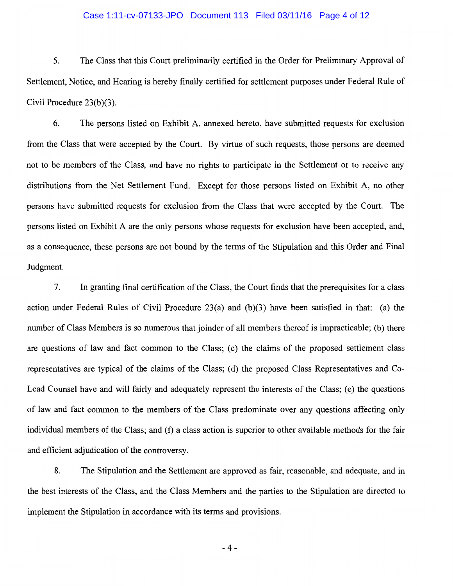#### Case 1:11-cv-07133-JPO Document 113 Filed 03/11/16 Page 4 of 12

5. The Class that this Court preliminarily certified in the Order for Preliminary Approval of Settlement, Notice, and Hearing is hereby finally certified for settlement purposes under Federal Rule of Civil Procedure 23(b)(3).

6. The persons listed on Exhibit A, annexed hereto, have submitted requests for exclusion from the Class that were accepted by the Court. By virtue of such requests, those persons are deemed not to be members of the Class, and have no rights to participate in the Settlement or to receive any distributions from the Net Settlement Fund. Except for those persons listed on Exhibit A, no other persons have submitted requests for exclusion from the Class that were accepted by the Court. The persons listed on Exhibit A are the only persons whose requests for exclusion have been accepted, and, as a consequence, these persons are not bound by the terms of the Stipulation and this Order and Final Judgment.

7. In granting final certification of the Class, the Court finds that the prerequisites for a class action under Federal Rules of Civil Procedure 23(a) and (b)(3) have been satisfied in that: (a) the number of Class Members is so numerous that joinder of all members thereof is impracticable; (b) there are questions of law and fact common to the Class; (c) the claims of the proposed settlement class representatives are typical of the claims of the Class; (d) the proposed Class Representatives and Co-Lead Counsel have and will fairly and adequately represent the interests of the Class; (e) the questions of law and fact common to the members of the Class predominate over any questions affecting only individual members of the Class; and (f) a class action is superior to other available methods for the fair and efficient adjudication of the controversy.

8. The Stipulation and the Settlement are approved as fair, reasonable, and adequate, and in the best interests of the Class, and the Class Members and the parties to the Stipulation are directed to implement the Stipulation in accordance with its terms and provisions.

- 4 -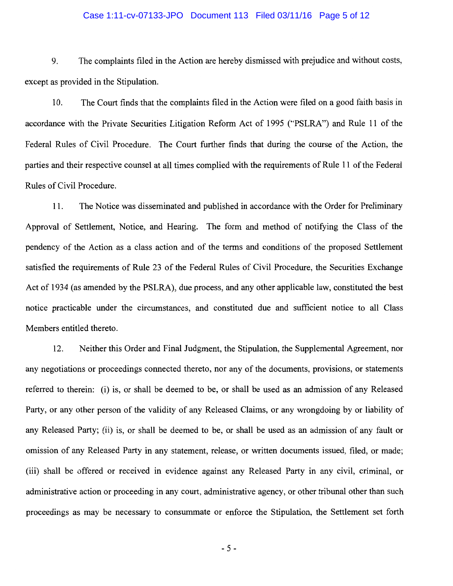#### Case 1:11-cv-07133-JPO Document 113 Filed 03/11/16 Page 5 of 12

9. The complaints filed in the Action are hereby dismissed with prejudice and without costs, except as provided in the Stipulation.

10. The Court finds that the complaints filed in the Action were filed on a good faith basis in accordance with the Private Securities Litigation Reform Act of 1995 ("PSLRA") and Rule 11 of the Federal Rules of Civil Procedure. The Court further finds that during the course of the Action, the parties and their respective counsel at all times complied with the requirements of Rule 11 of the Federal Rules of Civil Procedure.

11. The Notice was disseminated and published in accordance with the Order for Preliminary Approval of Settlement, Notice, and Hearing. The form and method of notifying the Class of the pendency of the Action as a class action and of the terms and conditions of the proposed Settlement satisfied the requirements of Rule 23 of the Federal Rules of Civil Procedure, the Securities Exchange Act of 1934 (as amended by the PSLRA), due process, and any other applicable law, constituted the best notice practicable under the circumstances, and constituted due and sufficient notice to all Class Members entitled thereto.

12. Neither this Order and Final Judgment, the Stipulation, the Supplemental Agreement, nor any negotiations or proceedings connected thereto, nor any of the documents, provisions, or statements referred to therein: (i) is, or shall be deemed to be, or shall be used as an admission of any Released Party, or any other person of the validity of any Released Claims, or any wrongdoing by or liability of any Released Party; (ii) is, or shall be deemed to be, or shall be used as an admission of any fault or omission of any Released Party in any statement, release, or written documents issued, filed, or made; (iii) shall be offered or received in evidence against any Released Party in any civil, criminal, or administrative action or proceeding in any court, administrative agency, or other tribunal other than such proceedings as may be necessary to consummate or enforce the Stipulation, the Settlement set forth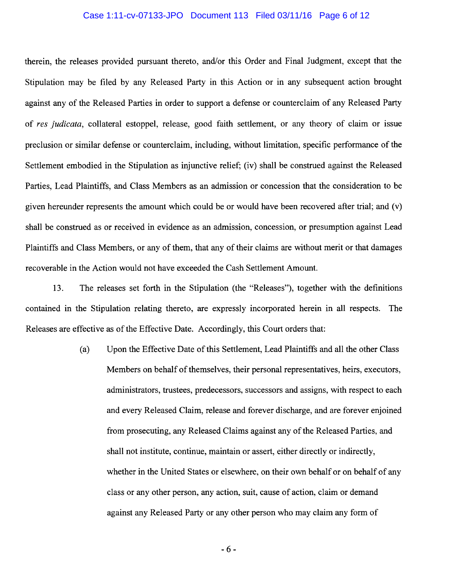#### Case 1:11-cv-07133-JPO Document 113 Filed 03/11/16 Page 6 of 12

therein, the releases provided pursuant thereto, and/or this Order and Final Judgment, except that the Stipulation may be filed by any Released Party in this Action or in any subsequent action brought against any of the Released Parties in order to support a defense or counterclaim of any Released Party of *res judicata,* collateral estoppel, release, good faith settlement, or any theory of claim or issue preclusion or similar defense or counterclaim, including, without limitation, specific performance of the Settlement embodied in the Stipulation as injunctive relief; (iv) shall be construed against the Released Parties, Lead Plaintiffs, and Class Members as an admission or concession that the consideration to be given hereunder represents the amount which could be or would have been recovered after trial; and (v) shall be construed as or received in evidence as an admission, concession, or presumption against Lead Plaintiffs and Class Members, or any of them, that any of their claims are without merit or that damages recoverable in the Action would not have exceeded the Cash Settlement Amount.

13. The releases set forth in the Stipulation (the "Releases"), together with the definitions contained in the Stipulation relating thereto, are expressly incorporated herein in all respects. The Releases are effective as of the Effective Date. Accordingly, this Court orders that:

> (a) Upon the Effective Date of this Settlement, Lead Plaintiffs and all the other Class Members on behalf of themselves, their personal representatives, heirs, executors, administrators, trustees, predecessors, successors and assigns, with respect to each and every Released Claim, release and forever discharge, and are forever enjoined from prosecuting, any Released Claims against any of the Released Parties, and shall not institute, continue, maintain or assert, either directly or indirectly, whether in the United States or elsewhere, on their own behalf or on behalf of any class or any other person, any action, suit, cause of action, claim or demand against any Released Party or any other person who may claim any form of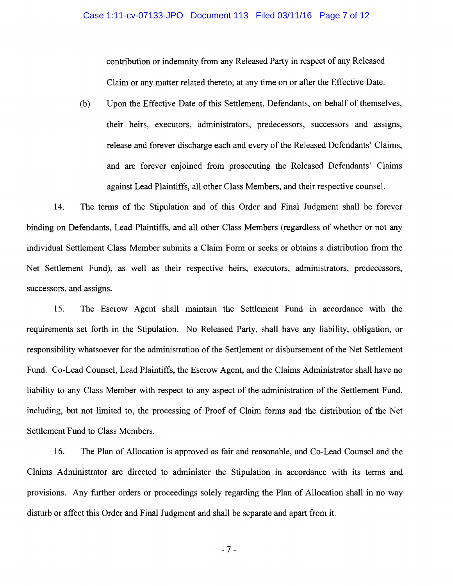#### Case 1:11-cv-07133-JPO Document 113 Filed 03/11/16 Page 7 of 12

contribution or indemnity from any Released Party in respect of any Released Claim or any matter related thereto, at any time on or after the Effective Date.

(b) Upon the Effective Date of this Settlement, Defendants, on behalf of themselves, their heirs, executors, administrators, predecessors, successors and assigns, release and forever discharge each and every of the Released Defendants' Claims, and are forever enjoined from prosecuting the Released Defendants' Claims against Lead Plaintiffs, all other Class Members, and their respective counsel.

14. The terms of the Stipulation and of this Order and Final Judgment shall be forever binding on Defendants, Lead Plaintiffs, and all other Class Members (regardless of whether or not any individual Settlement Class Member submits a Claim Form or seeks or obtains a distribution from the Net Settlement Fund), as well as their respective heirs, executors, administrators, predecessors, successors, and assigns.

15. The Escrow Agent shall maintain the Settlement Fund in accordance with the requirements set forth in the Stipulation. No Released Party, shall have any liability, obligation, or responsibility whatsoever for the administration of the Settlement or disbursement of the Net Settlement Fund. Co-Lead Counsel, Lead Plaintiffs, the Escrow Agent, and the Claims Administrator shall have no liability to any Class Member with respect to any aspect of the administration of the Settlement Fund, including, but not limited to, the processing of Proof of Claim forms and the distribution of the Net Settlement Fund to Class Members.

16. The Plan of Allocation is approved as fair and reasonable, and Co-Lead Counsel and the Claims Administrator are directed to administer the Stipulation in accordance with its terms and provisions. Any further orders or proceedings solely regarding the Plan of Allocation shall in no way disturb or affect this Order and Final Judgment and shall be separate and apart from it.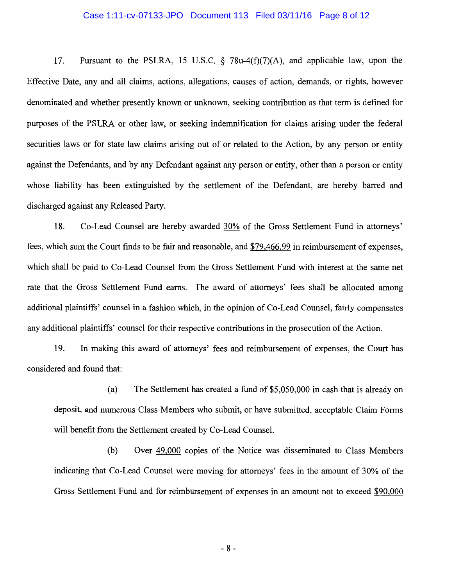#### Case 1:11-cv-07133-JPO Document 113 Filed 03/11/16 Page 8 of 12

17. Pursuant to the PSLRA, 15 U.S.C. § 78u-4(f)(7)(A), and applicable law, upon the Effective Date, any and all claims, actions, allegations, causes of action, demands, or rights, however denominated and whether presently known or unknown, seeking contribution as that term is defined for purposes of the PSLRA or other law, or seeking indemnification for claims arising under the federal securities laws or for state law claims arising out of or related to the Action, by any person or entity against the Defendants, and by any Defendant against any person or entity, other than a person or entity whose liability has been extinguished by the settlement of the Defendant, are hereby barred and discharged against any Released Party.

18. Co-Lead Counsel are hereby awarded 30% of the Gross Settlement Fund in attorneys' fees, which sum the Court finds to be fair and reasonable, and \$79,466.99 in reimbursement of expenses, which shall be paid to Co-Lead Counsel from the Gross Settlement Fund with interest at the same net rate that the Gross Settlement Fund earns. The award of attorneys' fees shall be allocated among additional plaintiffs' counsel in a fashion which, in the opinion of Co-Lead Counsel, fairly compensates any additional plaintiffs' counsel for their respective contributions in the prosecution of the Action.

19. In making this award of attorneys' fees and reimbursement of expenses, the Court has considered and found that:

(a) The Settlement has created a fund of \$5,050,000 in cash that is already on deposit, and numerous Class Members who submit, or have submitted, acceptable Claim Forms will benefit from the Settlement created by Co-Lead Counsel.

(b) Over 49,000 copies of the Notice was disseminated to Class Members indicating that Co-Lead Counsel were moving for attorneys' fees in the amount of 30% of the Gross Settlement Fund and for reimbursement of expenses in an amount not to exceed \$90,000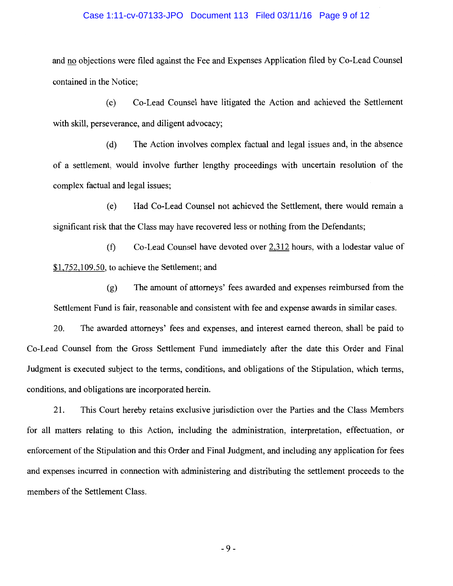#### Case 1:11-cv-07133-JPO Document 113 Filed 03/11/16 Page 9 of 12

and no objections were filed against the Fee and Expenses Application filed by Co-Lead Counsel contained in the Notice;

( c) Co-Lead Counsel have litigated the Action and achieved the Settlement with skill, perseverance, and diligent advocacy;

( d) The Action involves complex factual and legal issues and, in the absence of a settlement, would involve further lengthy proceedings with uncertain resolution of the complex factual and legal issues;

(e) Had Co-Lead Counsel not achieved the Settlement, there would remain a significant risk that the Class may have recovered less or nothing from the Defendants;

(f) Co-Lead Counsel have devoted over 2,312 hours, with a lodestar value of \$1,752,109.50, to achieve the Settlement; and

(g) The amount of attorneys' fees awarded and expenses reimbursed from the Settlement Fund is fair, reasonable and consistent with fee and expense awards in similar cases.

20. The awarded attorneys' fees and expenses, and interest earned thereon, shall be paid to Co-Lead Counsel from the Gross Settlement Fund immediately after the date this Order and Final Judgment is executed subject to the terms, conditions, and obligations of the Stipulation, which terms, conditions, and obligations are incorporated herein.

21. This Court hereby retains exclusive jurisdiction over the Parties and the Class Members for all matters relating to this Action, including the administration, interpretation, effectuation, or enforcement of the Stipulation and this Order and Final Judgment, and including any application for fees and expenses incurred in connection with administering and distributing the settlement proceeds to the members of the Settlement Class.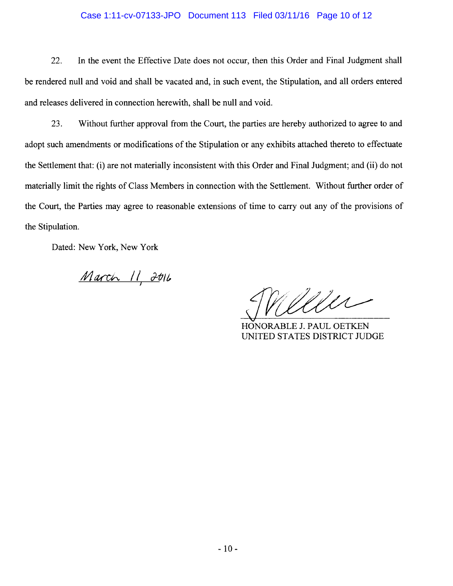#### Case 1:11-cv-07133-JPO Document 113 Filed 03/11/16 Page 10 of 12

22. In the event the Effective Date does not occur, then this Order and Final Judgment shall be rendered null and void and shall be vacated and, in such event, the Stipulation, and all orders entered and releases delivered in connection herewith, shall be null and void.

23. Without further approval from the Court, the parties are hereby authorized to agree to and adopt such amendments or modifications of the Stipulation or any exhibits attached thereto to effectuate the Settlement that: (i) are not materially inconsistent with this Order and Final Judgment; and (ii) do not materially limit the rights of Class Members in connection with the Settlement. Without further order of the Court, the Parties may agree to reasonable extensions of time to carry out any of the provisions of the Stipulation.

Dated: New York, New York

 $March 11 2016$ 

Welle

HONORABLE J. PAUL OETKEN UNITED STATES DISTRICT JUDGE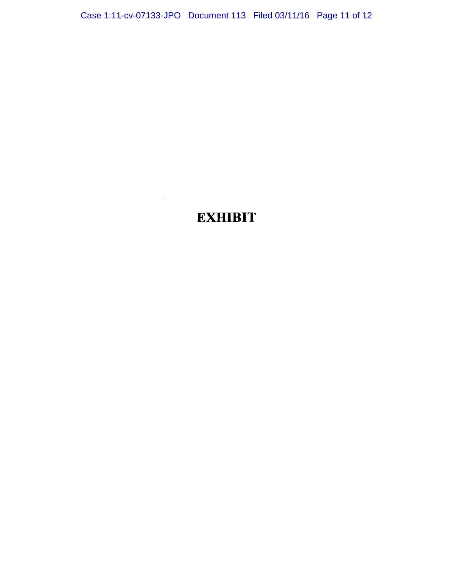Case 1:11-cv-07133-JPO Document 113 Filed 03/11/16 Page 11 of 12

# **EXHIBIT**